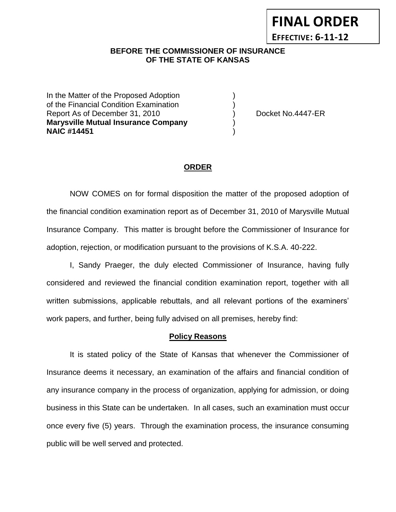# **EFFECTIVE: 6-11-12**

**FINAL ORDER**

### **BEFORE THE COMMISSIONER OF INSURANCE OF THE STATE OF KANSAS**

In the Matter of the Proposed Adoption of the Financial Condition Examination ) Report As of December 31, 2010 (and Separate Left No.4447-ER **Marysville Mutual Insurance Company** ) **NAIC #14451** )

#### **ORDER**

NOW COMES on for formal disposition the matter of the proposed adoption of the financial condition examination report as of December 31, 2010 of Marysville Mutual Insurance Company. This matter is brought before the Commissioner of Insurance for adoption, rejection, or modification pursuant to the provisions of K.S.A. 40-222.

I, Sandy Praeger, the duly elected Commissioner of Insurance, having fully considered and reviewed the financial condition examination report, together with all written submissions, applicable rebuttals, and all relevant portions of the examiners' work papers, and further, being fully advised on all premises, hereby find:

#### **Policy Reasons**

It is stated policy of the State of Kansas that whenever the Commissioner of Insurance deems it necessary, an examination of the affairs and financial condition of any insurance company in the process of organization, applying for admission, or doing business in this State can be undertaken. In all cases, such an examination must occur once every five (5) years. Through the examination process, the insurance consuming public will be well served and protected.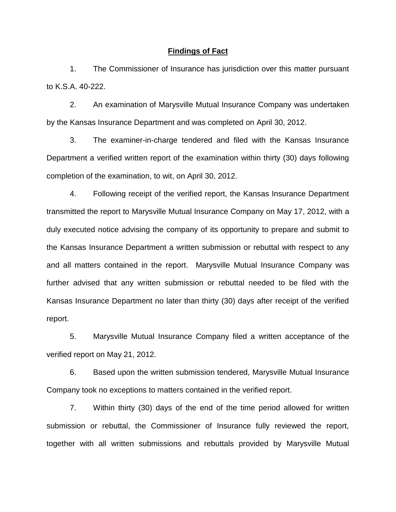#### **Findings of Fact**

1. The Commissioner of Insurance has jurisdiction over this matter pursuant to K.S.A. 40-222.

2. An examination of Marysville Mutual Insurance Company was undertaken by the Kansas Insurance Department and was completed on April 30, 2012.

3. The examiner-in-charge tendered and filed with the Kansas Insurance Department a verified written report of the examination within thirty (30) days following completion of the examination, to wit, on April 30, 2012.

4. Following receipt of the verified report, the Kansas Insurance Department transmitted the report to Marysville Mutual Insurance Company on May 17, 2012, with a duly executed notice advising the company of its opportunity to prepare and submit to the Kansas Insurance Department a written submission or rebuttal with respect to any and all matters contained in the report. Marysville Mutual Insurance Company was further advised that any written submission or rebuttal needed to be filed with the Kansas Insurance Department no later than thirty (30) days after receipt of the verified report.

5. Marysville Mutual Insurance Company filed a written acceptance of the verified report on May 21, 2012.

6. Based upon the written submission tendered, Marysville Mutual Insurance Company took no exceptions to matters contained in the verified report.

7. Within thirty (30) days of the end of the time period allowed for written submission or rebuttal, the Commissioner of Insurance fully reviewed the report, together with all written submissions and rebuttals provided by Marysville Mutual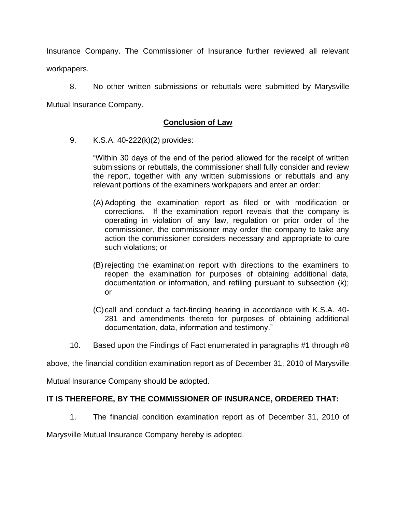Insurance Company. The Commissioner of Insurance further reviewed all relevant workpapers.

8. No other written submissions or rebuttals were submitted by Marysville Mutual Insurance Company.

# **Conclusion of Law**

9. K.S.A. 40-222(k)(2) provides:

"Within 30 days of the end of the period allowed for the receipt of written submissions or rebuttals, the commissioner shall fully consider and review the report, together with any written submissions or rebuttals and any relevant portions of the examiners workpapers and enter an order:

- (A) Adopting the examination report as filed or with modification or corrections. If the examination report reveals that the company is operating in violation of any law, regulation or prior order of the commissioner, the commissioner may order the company to take any action the commissioner considers necessary and appropriate to cure such violations; or
- (B) rejecting the examination report with directions to the examiners to reopen the examination for purposes of obtaining additional data, documentation or information, and refiling pursuant to subsection (k); or
- (C)call and conduct a fact-finding hearing in accordance with K.S.A. 40- 281 and amendments thereto for purposes of obtaining additional documentation, data, information and testimony."
- 10. Based upon the Findings of Fact enumerated in paragraphs #1 through #8

above, the financial condition examination report as of December 31, 2010 of Marysville

Mutual Insurance Company should be adopted.

## **IT IS THEREFORE, BY THE COMMISSIONER OF INSURANCE, ORDERED THAT:**

1. The financial condition examination report as of December 31, 2010 of

Marysville Mutual Insurance Company hereby is adopted.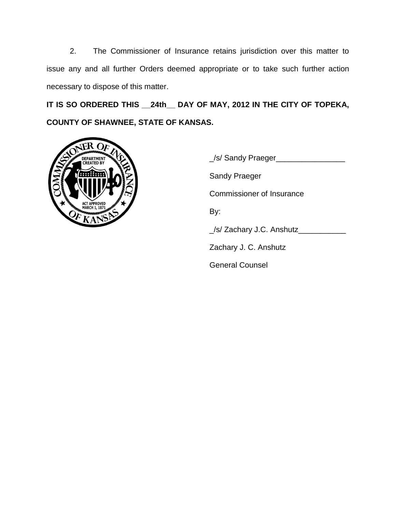2. The Commissioner of Insurance retains jurisdiction over this matter to issue any and all further Orders deemed appropriate or to take such further action necessary to dispose of this matter.

**IT IS SO ORDERED THIS \_\_24th\_\_ DAY OF MAY, 2012 IN THE CITY OF TOPEKA, COUNTY OF SHAWNEE, STATE OF KANSAS.**



\_/s/ Sandy Praeger\_\_\_\_\_\_\_\_\_\_\_\_\_\_\_\_ Sandy Praeger Commissioner of Insurance By: \_/s/ Zachary J.C. Anshutz\_\_\_\_\_\_\_\_\_\_\_ Zachary J. C. Anshutz General Counsel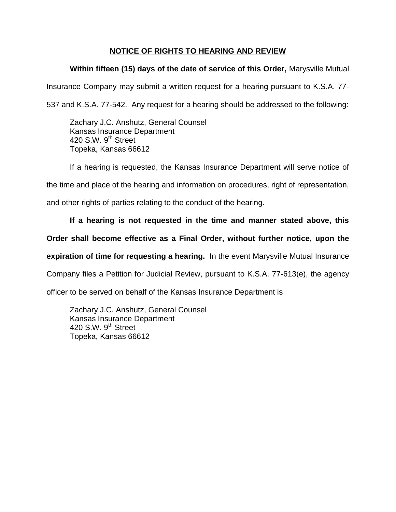# **NOTICE OF RIGHTS TO HEARING AND REVIEW**

# **Within fifteen (15) days of the date of service of this Order,** Marysville Mutual

Insurance Company may submit a written request for a hearing pursuant to K.S.A. 77-

537 and K.S.A. 77-542. Any request for a hearing should be addressed to the following:

Zachary J.C. Anshutz, General Counsel Kansas Insurance Department 420 S.W. 9<sup>th</sup> Street Topeka, Kansas 66612

If a hearing is requested, the Kansas Insurance Department will serve notice of

the time and place of the hearing and information on procedures, right of representation,

and other rights of parties relating to the conduct of the hearing.

# **If a hearing is not requested in the time and manner stated above, this**

# **Order shall become effective as a Final Order, without further notice, upon the**

**expiration of time for requesting a hearing.** In the event Marysville Mutual Insurance

Company files a Petition for Judicial Review, pursuant to K.S.A. 77-613(e), the agency

officer to be served on behalf of the Kansas Insurance Department is

Zachary J.C. Anshutz, General Counsel Kansas Insurance Department 420 S.W.  $9<sup>th</sup>$  Street Topeka, Kansas 66612